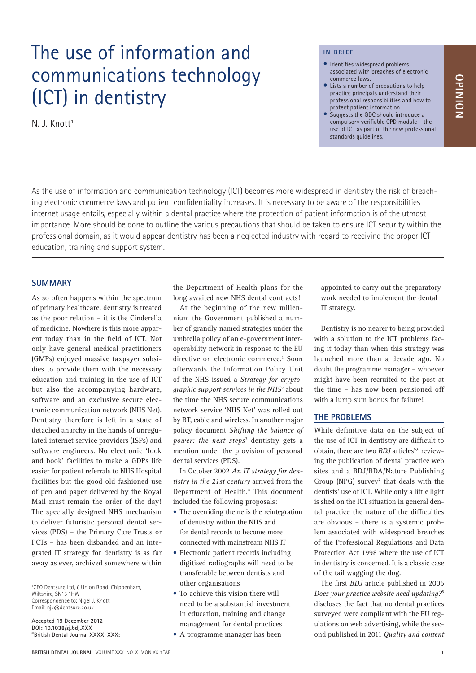# The use of information and communications technology (ICT) in dentistry

N. J. Knott<sup>1</sup>

#### **IN BRIEF**

- Identifies widespread problems associated with breaches of electronic commerce laws.
- Lists a number of precautions to help practice principals understand their professional responsibilities and how to protect patient information.
- Suggests the GDC should introduce a compulsory verifiable CPD module – the use of ICT as part of the new professional standards guidelines.

As the use of information and communication technology (ICT) becomes more widespread in dentistry the risk of breaching electronic commerce laws and patient confidentiality increases. It is necessary to be aware of the responsibilities internet usage entails, especially within a dental practice where the protection of patient information is of the utmost importance. More should be done to outline the various precautions that should be taken to ensure ICT security within the professional domain, as it would appear dentistry has been a neglected industry with regard to receiving the proper ICT education, training and support system.

### **SUMMARY**

As so often happens within the spectrum of primary healthcare, dentistry is treated as the poor relation – it is the Cinderella of medicine. Nowhere is this more apparent today than in the field of ICT. Not only have general medical practitioners (GMPs) enjoyed massive taxpayer subsidies to provide them with the necessary education and training in the use of ICT but also the accompanying hardware, software and an exclusive secure electronic communication network (NHS Net). Dentistry therefore is left in a state of detached anarchy in the hands of unregulated internet service providers (ISPs) and software engineers. No electronic 'look and book' facilities to make a GDPs life easier for patient referrals to NHS Hospital facilities but the good old fashioned use of pen and paper delivered by the Royal Mail must remain the order of the day! The specially designed NHS mechanism to deliver futuristic personal dental services (PDS) – the Primary Care Trusts or PCTs – has been disbanded and an integrated IT strategy for dentistry is as far away as ever, archived somewhere within

1 CEO Dentsure Ltd, 6 Union Road, Chippenham, Wiltshire, SN15 1HW Correspondence to: Nigel J. Knott Email: njk@dentsure.co.uk

**Accepted 19 December 2012 DOI: 10.1038/sj.bdj.XXX**  ©**British Dental Journal XXXX; XXX:**  the Department of Health plans for the long awaited new NHS dental contracts!

At the beginning of the new millennium the Government published a number of grandly named strategies under the umbrella policy of an e-government interoperability network in response to the EU directive on electronic commerce.<sup>1</sup> Soon afterwards the Information Policy Unit of the NHS issued a *Strategy for cryptographic support services in the NHS*<sup>2</sup> about the time the NHS secure communications network service 'NHS Net' was rolled out by BT, cable and wireless. In another major policy document *Shifting the balance of power: the next steps*<sup>3</sup> dentistry gets a mention under the provision of personal dental services (PDS).

In October 2002 *An IT strategy for dentistry in the 21st century* arrived from the Department of Health.<sup>4</sup> This document included the following proposals:

- The overriding theme is the reintegration of dentistry within the NHS and for dental records to become more connected with mainstream NHS IT
- Electronic patient records including digitised radiographs will need to be transferable between dentists and other organisations
- To achieve this vision there will need to be a substantial investment in education, training and change management for dental practices
- A programme manager has been

appointed to carry out the preparatory work needed to implement the dental IT strategy.

Dentistry is no nearer to being provided with a solution to the ICT problems facing it today than when this strategy was launched more than a decade ago. No doubt the programme manager – whoever might have been recruited to the post at the time – has now been pensioned off with a lump sum bonus for failure!

# **THE PROBLEMS**

While definitive data on the subject of the use of ICT in dentistry are difficult to obtain, there are two *BDJ* articles<sup>5,6</sup> reviewing the publication of dental practice web sites and a BDJ/BDA/Nature Publishing Group (NPG) survey<sup>7</sup> that deals with the dentists' use of ICT. While only a little light is shed on the ICT situation in general dental practice the nature of the difficulties are obvious – there is a systemic problem associated with widespread breaches of the Professional Regulations and Data Protection Act 1998 where the use of ICT in dentistry is concerned. It is a classic case of the tail wagging the dog.

The first *BDJ* article published in 2005 *Does your practice website need updating?*<sup>5</sup> discloses the fact that no dental practices surveyed were compliant with the EU regulations on web advertising, while the second published in 2011 *Quality and content*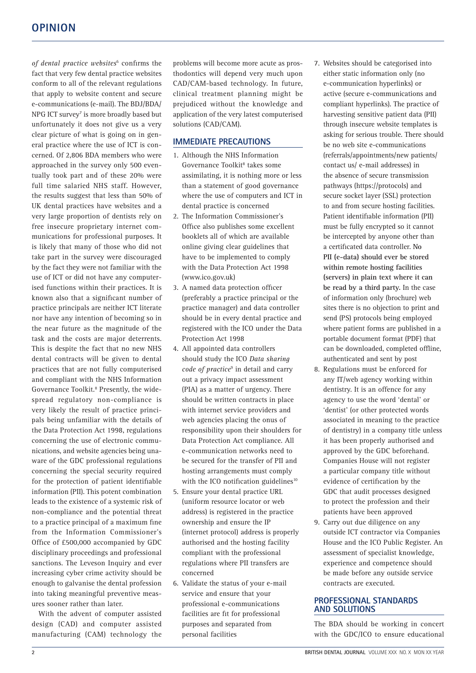of dental practice websites<sup>6</sup> confirms the fact that very few dental practice websites conform to all of the relevant regulations that apply to website content and secure e‑communications (e-mail). The BDJ/BDA/ NPG ICT survey<sup>7</sup> is more broadly based but unfortunately it does not give us a very clear picture of what is going on in general practice where the use of ICT is concerned. Of 2,806 BDA members who were approached in the survey only 500 eventually took part and of these 20% were full time salaried NHS staff. However, the results suggest that less than 50% of UK dental practices have websites and a very large proportion of dentists rely on free insecure proprietary internet communications for professional purposes. It is likely that many of those who did not take part in the survey were discouraged by the fact they were not familiar with the use of ICT or did not have any computerised functions within their practices. It is known also that a significant number of practice principals are neither ICT literate nor have any intention of becoming so in the near future as the magnitude of the task and the costs are major deterrents. This is despite the fact that no new NHS dental contracts will be given to dental practices that are not fully computerised and compliant with the NHS Information Governance Toolkit.<sup>8</sup> Presently, the widespread regulatory non-compliance is very likely the result of practice principals being unfamiliar with the details of the Data Protection Act 1998, regulations concerning the use of electronic communications, and website agencies being una‑ ware of the GDC professional regulations concerning the special security required for the protection of patient identifiable information (PII). This potent combination leads to the existence of a systemic risk of non-compliance and the potential threat to a practice principal of a maximum fine from the Information Commissioner's Office of £500,000 accompanied by GDC disciplinary proceedings and professional sanctions. The Leveson Inquiry and ever increasing cyber crime activity should be enough to galvanise the dental profession into taking meaningful preventive measures sooner rather than later.

With the advent of computer assisted design (CAD) and computer assisted manufacturing (CAM) technology the problems will become more acute as prosthodontics will depend very much upon CAD/CAM-based technology. In future, clinical treatment planning might be prejudiced without the knowledge and application of the very latest computerised solutions (CAD/CAM).

# **IMMEDIATE PRECAUTIONS**

- 1. Although the NHS Information Governance Toolkit<sup>8</sup> takes some assimilating, it is nothing more or less than a statement of good governance where the use of computers and ICT in dental practice is concerned
- 2. The Information Commissioner's Office also publishes some excellent booklets all of which are available online giving clear guidelines that have to be implemented to comply with the Data Protection Act 1998 (www.ico.gov.uk)
- 3. A named data protection officer (preferably a practice principal or the practice manager) and data controller should be in every dental practice and registered with the ICO under the Data Protection Act 1998
- 4. All appointed data controllers should study the ICO *Data sharing*  code of *practice<sup>9</sup>* in detail and carry out a privacy impact assessment (PIA) as a matter of urgency. There should be written contracts in place with internet service providers and web agencies placing the onus of responsibility upon their shoulders for Data Protection Act compliance. All e‑communication networks need to be secured for the transfer of PII and hosting arrangements must comply with the ICO notification guidelines<sup>10</sup>
- 5. Ensure your dental practice URL (uniform resource locator or web address) is registered in the practice ownership and ensure the IP (internet protocol) address is properly authorised and the hosting facility compliant with the professional regulations where PII transfers are concerned
- 6. Validate the status of your e‑mail service and ensure that your professional e‑communications facilities are fit for professional purposes and separated from personal facilities
- 7. Websites should be categorised into either static information only (no e‑communication hyperlinks) or active (secure e‑communications and compliant hyperlinks). The practice of harvesting sensitive patient data (PII) through insecure website templates is asking for serious trouble. There should be no web site e‑communications (referrals/appointments/new patients/ contact us/ e‑mail addresses) in the absence of secure transmission pathways (https://protocols) and secure socket layer (SSL) protection to and from secure hosting facilities. Patient identifiable information (PII) must be fully encrypted so it cannot be intercepted by anyone other than a certificated data controller. **No PII (e-data) should ever be stored within remote hosting facilities (servers) in plain text where it can be read by a third party.** In the case of information only (brochure) web sites there is no objection to print and send (PS) protocols being employed where patient forms are published in a portable document format (PDF) that can be downloaded, completed offline, authenticated and sent by post
- 8. Regulations must be enforced for any IT/web agency working within dentistry. It is an offence for any agency to use the word 'dental' or 'dentist' (or other protected words associated in meaning to the practice of dentistry) in a company title unless it has been properly authorised and approved by the GDC beforehand. Companies House will not register a particular company title without evidence of certification by the GDC that audit processes designed to protect the profession and their patients have been approved
- 9. Carry out due diligence on any outside ICT contractor via Companies House and the ICO Public Register. An assessment of specialist knowledge, experience and competence should be made before any outside service contracts are executed.

#### **PROFESSIONAL STANDARDS AND SOLUTIONS**

The BDA should be working in concert with the GDC/ICO to ensure educational